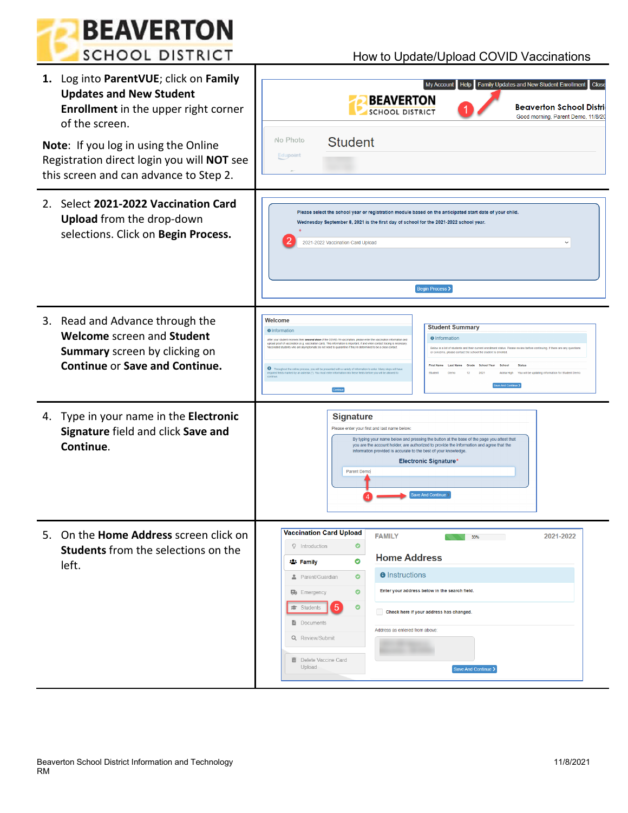

## How to Update/Upload COVID Vaccinations

| 1. Log into ParentVUE; click on Family<br><b>Updates and New Student</b><br><b>Enrollment</b> in the upper right corner<br>of the screen.<br>Note: If you log in using the Online<br>Registration direct login you will NOT see<br>this screen and can advance to Step 2. | Help Family Updates and New Student Enrollment Close<br>My Account<br><b>BEAVERTON</b><br><b>Beaverton School Distri</b><br><b>SCHOOL DISTRICT</b><br>Good morning, Parent Demo, 11/8/20<br>No Photo<br><b>Student</b><br>Edupoint                                                                                                                                                                                                                                                                                                                                                                                                                                                                                                                                                                                                                                                                                                                                         |  |  |  |  |  |
|---------------------------------------------------------------------------------------------------------------------------------------------------------------------------------------------------------------------------------------------------------------------------|----------------------------------------------------------------------------------------------------------------------------------------------------------------------------------------------------------------------------------------------------------------------------------------------------------------------------------------------------------------------------------------------------------------------------------------------------------------------------------------------------------------------------------------------------------------------------------------------------------------------------------------------------------------------------------------------------------------------------------------------------------------------------------------------------------------------------------------------------------------------------------------------------------------------------------------------------------------------------|--|--|--|--|--|
| 2. Select 2021-2022 Vaccination Card<br><b>Upload</b> from the drop-down<br>selections. Click on Begin Process.                                                                                                                                                           | Please select the school year or registration module based on the anticipated start date of your child.<br>Wednesday September 8, 2021 is the first day of school for the 2021-2022 school year.<br>2021-2022 Vaccination Card Upload<br>Begin Process >                                                                                                                                                                                                                                                                                                                                                                                                                                                                                                                                                                                                                                                                                                                   |  |  |  |  |  |
| 3. Read and Advance through the<br>Welcome screen and Student<br>Summary screen by clicking on<br><b>Continue or Save and Continue.</b>                                                                                                                                   | Welcome<br><b>Student Summary</b><br><b>O</b> Information<br><b>O</b> Information<br>After your student receives their second dose of the COVID-19 vaccination, please enter the vac<br>upload proof of vaccination (e.g. vaccination card). This information is important, if and when contact tracing is necessary<br>Vaccinated students who are asymptomatic do not need to quarantine if they're dete<br>ned to be a clos<br>Below is a list of students and their current enrollment status. Please review before continuing. If there are any questions<br>or concerns, please contact the school the student is enrolled<br><b>First Name</b><br>Grade School Year<br>School<br><b>Status</b><br>ghout the online process, you will be presented with a variety of info<br>You will be updating information for Student Demo<br>ired fields marked by an asterisk (*). You must enter information into these fields before you will be<br>12<br>2021<br>Aloha High |  |  |  |  |  |
| 4. Type in your name in the Electronic<br>Signature field and click Save and<br>Continue.                                                                                                                                                                                 | <b>Signature</b><br>Please enter your first and last name below:<br>By typing your name below and pressing the button at the base of the page you attest that<br>you are the account holder, are authorized to provide the information and agree that the<br>information provided is accurate to the best of your knowledge<br><b>Electronic Signature*</b><br>Parent Demo<br><b>Save And Continue</b>                                                                                                                                                                                                                                                                                                                                                                                                                                                                                                                                                                     |  |  |  |  |  |
| On the <b>Home Address</b> screen click on<br>5.<br><b>Students</b> from the selections on the<br>left.                                                                                                                                                                   | Vaccination Card Upload<br><b>FAMILY</b><br>2021-2022<br>33%<br><b>Q</b> Introduction<br>o<br><b>Home Address</b><br>۰<br><b>23 Family</b><br><b>O</b> Instructions<br>$\bullet$<br>Parent/Guardian<br>Enter your address below in the search field.<br>0<br><b>B</b> Emergency<br>$\bullet$<br>Students<br>Check here if your address has changed.<br><b>Documents</b><br>Address as entered from above:<br>Q Review/Submit<br><b>m</b> Delete Vaccine Card<br>Upload<br>Save And Continue >                                                                                                                                                                                                                                                                                                                                                                                                                                                                              |  |  |  |  |  |